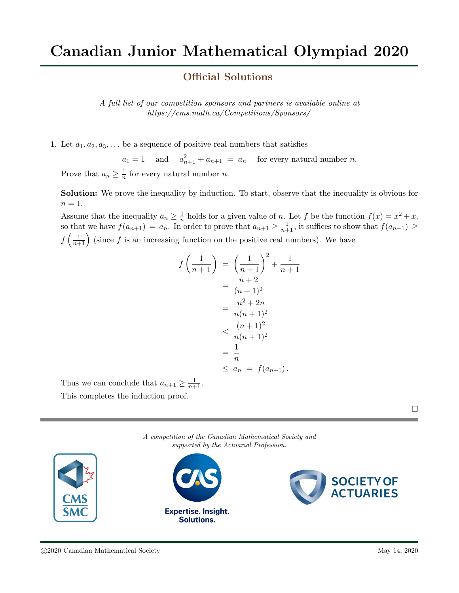## Official Solutions

A full list of our competition sponsors and partners is available online at https://cms.math.ca/Competitions/Sponsors/

1. Let  $a_1, a_2, a_3, \ldots$  be a sequence of positive real numbers that satisfies

 $a_1 = 1$  and  $a_{n+1}^2 + a_{n+1} = a_n$  for every natural number *n*.

Prove that  $a_n \geq \frac{1}{n}$  $\frac{1}{n}$  for every natural number *n*.

Solution: We prove the inequality by induction. To start, observe that the inequality is obvious for  $n=1$ .

Assume that the inequality  $a_n \geq \frac{1}{n}$  $\frac{1}{n}$  holds for a given value of n. Let f be the function  $f(x) = x^2 + x$ , so that we have  $f(a_{n+1}) = a_n$ . In order to prove that  $a_{n+1} \geq \frac{1}{n+1}$ , it suffices to show that  $f(a_{n+1}) \geq$  $f\left(\frac{1}{n+1}\right)$  (since f is an increasing function on the positive real numbers). We have

$$
f\left(\frac{1}{n+1}\right) = \left(\frac{1}{n+1}\right)^2 + \frac{1}{n+1}
$$
  
=  $\frac{n+2}{(n+1)^2}$   
=  $\frac{n^2 + 2n}{n(n+1)^2}$   
 $< \frac{(n+1)^2}{n(n+1)^2}$   
=  $\frac{1}{n}$   
 $\leq a_n = f(a_{n+1}).$ 

Thus we can conclude that  $a_{n+1} \geq \frac{1}{n+1}$ . This completes the induction proof.

A competition of the Canadian Mathematical Society and supported by the Actuarial Profession.

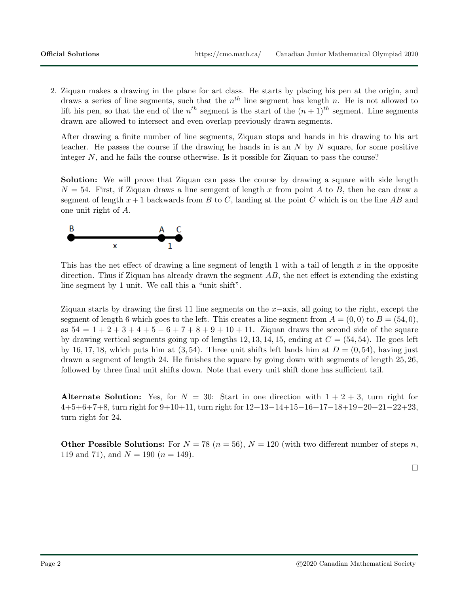2. Ziquan makes a drawing in the plane for art class. He starts by placing his pen at the origin, and draws a series of line segments, such that the  $n<sup>th</sup>$  line segment has length n. He is not allowed to lift his pen, so that the end of the  $n^{th}$  segment is the start of the  $(n+1)^{th}$  segment. Line segments drawn are allowed to intersect and even overlap previously drawn segments.

After drawing a finite number of line segments, Ziquan stops and hands in his drawing to his art teacher. He passes the course if the drawing he hands in is an  $N$  by  $N$  square, for some positive integer N, and he fails the course otherwise. Is it possible for Ziquan to pass the course?

Solution: We will prove that Ziquan can pass the course by drawing a square with side length  $N = 54$ . First, if Ziquan draws a line semgent of length x from point A to B, then he can draw a segment of length  $x + 1$  backwards from B to C, landing at the point C which is on the line AB and one unit right of A.



This has the net effect of drawing a line segment of length 1 with a tail of length x in the opposite direction. Thus if Ziquan has already drawn the segment  $AB$ , the net effect is extending the existing line segment by 1 unit. We call this a "unit shift".

Ziquan starts by drawing the first 11 line segments on the x−axis, all going to the right, except the segment of length 6 which goes to the left. This creates a line segment from  $A = (0,0)$  to  $B = (54,0)$ , as  $54 = 1 + 2 + 3 + 4 + 5 - 6 + 7 + 8 + 9 + 10 + 11$ . Ziquan draws the second side of the square by drawing vertical segments going up of lengths 12, 13, 14, 15, ending at  $C = (54, 54)$ . He goes left by 16, 17, 18, which puts him at  $(3, 54)$ . Three unit shifts left lands him at  $D = (0, 54)$ , having just drawn a segment of length 24. He finishes the square by going down with segments of length 25, 26, followed by three final unit shifts down. Note that every unit shift done has sufficient tail.

Alternate Solution: Yes, for  $N = 30$ : Start in one direction with  $1 + 2 + 3$ , turn right for 4+5+6+7+8, turn right for 9+10+11, turn right for 12+13−14+15−16+17−18+19−20+21−22+23, turn right for 24.

**Other Possible Solutions:** For  $N = 78$   $(n = 56)$ ,  $N = 120$  (with two different number of steps n, 119 and 71), and  $N = 190$  ( $n = 149$ ).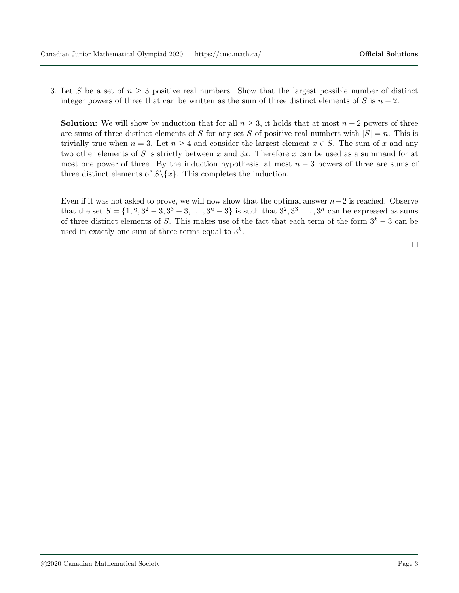3. Let S be a set of  $n \geq 3$  positive real numbers. Show that the largest possible number of distinct integer powers of three that can be written as the sum of three distinct elements of S is  $n-2$ .

**Solution:** We will show by induction that for all  $n \geq 3$ , it holds that at most  $n-2$  powers of three are sums of three distinct elements of S for any set S of positive real numbers with  $|S| = n$ . This is trivially true when  $n = 3$ . Let  $n \geq 4$  and consider the largest element  $x \in S$ . The sum of x and any two other elements of S is strictly between x and 3x. Therefore x can be used as a summand for at most one power of three. By the induction hypothesis, at most  $n-3$  powers of three are sums of three distinct elements of  $S \setminus \{x\}$ . This completes the induction.

Even if it was not asked to prove, we will now show that the optimal answer  $n-2$  is reached. Observe that the set  $S = \{1, 2, 3^2 - 3, 3^3 - 3, \ldots, 3^n - 3\}$  is such that  $3^2, 3^3, \ldots, 3^n$  can be expressed as sums of three distinct elements of S. This makes use of the fact that each term of the form  $3<sup>k</sup> - 3$  can be used in exactly one sum of three terms equal to  $3^k$ .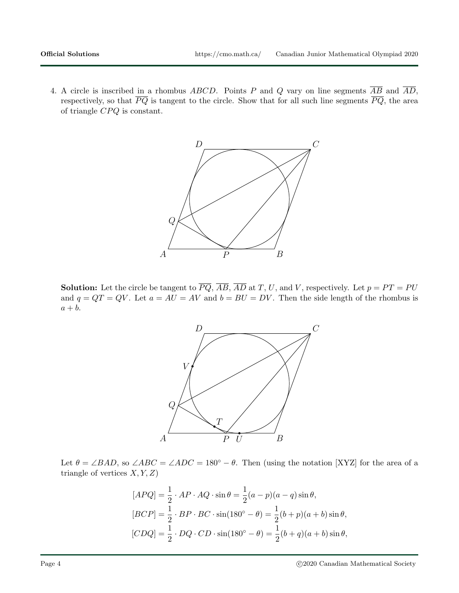4. A circle is inscribed in a rhombus ABCD. Points P and Q vary on line segments  $\overline{AB}$  and  $\overline{AD}$ , respectively, so that  $\overline{PQ}$  is tangent to the circle. Show that for all such line segments  $\overline{PQ}$ , the area of triangle  $CPQ$  is constant.



**Solution:** Let the circle be tangent to  $\overline{PQ}$ ,  $\overline{AB}$ ,  $\overline{AD}$  at T, U, and V, respectively. Let  $p = PT = PU$ and  $q = QT = QV$ . Let  $a = A\overline{U} = AV$  and  $b = BU = DV$ . Then the side length of the rhombus is  $a + b$ .



Let  $\theta = \angle BAD$ , so  $\angle ABC = \angle ADC = 180^{\circ} - \theta$ . Then (using the notation [XYZ] for the area of a triangle of vertices  $X, Y, Z$ 

$$
[APQ] = \frac{1}{2} \cdot AP \cdot AQ \cdot \sin \theta = \frac{1}{2}(a - p)(a - q)\sin \theta,
$$
  
\n
$$
[BCP] = \frac{1}{2} \cdot BP \cdot BC \cdot \sin(180^\circ - \theta) = \frac{1}{2}(b + p)(a + b)\sin \theta,
$$
  
\n
$$
[CDQ] = \frac{1}{2} \cdot DQ \cdot CD \cdot \sin(180^\circ - \theta) = \frac{1}{2}(b + q)(a + b)\sin \theta,
$$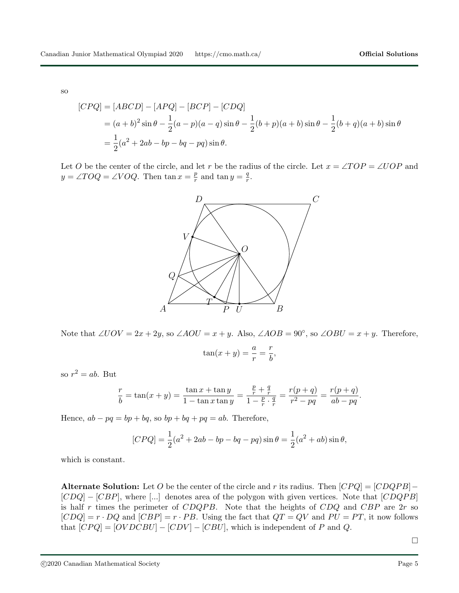so

$$
[CPQ] = [ABCD] - [APQ] - [BCP] - [CDQ]
$$
  
=  $(a + b)^2 \sin \theta - \frac{1}{2}(a - p)(a - q) \sin \theta - \frac{1}{2}(b + p)(a + b) \sin \theta - \frac{1}{2}(b + q)(a + b) \sin \theta$   
=  $\frac{1}{2}(a^2 + 2ab - bp - bq - pq) \sin \theta$ .

Let O be the center of the circle, and let r be the radius of the circle. Let  $x = \angle TOP = \angle UOP$  and  $y = \angle TOQ = \angle VOQ$ . Then  $\tan x = \frac{p}{r}$  $\frac{p}{r}$  and tan  $y = \frac{q}{r}$  $\frac{q}{r}.$ 



Note that  $\angle UOV = 2x + 2y$ , so  $\angle AOU = x + y$ . Also,  $\angle AOB = 90^\circ$ , so  $\angle OBU = x + y$ . Therefore,

$$
\tan(x+y) = \frac{a}{r} = \frac{r}{b}
$$

,

so  $r^2 = ab$ . But

$$
\frac{r}{b} = \tan(x+y) = \frac{\tan x + \tan y}{1 - \tan x \tan y} = \frac{\frac{p}{r} + \frac{q}{r}}{1 - \frac{p}{r} \cdot \frac{q}{r}} = \frac{r(p+q)}{r^2 - pq} = \frac{r(p+q)}{ab - pq}.
$$

Hence,  $ab - pq = bp + bq$ , so  $bp + bq + pq = ab$ . Therefore,

$$
[CPQ] = \frac{1}{2}(a^2 + 2ab - bp - bq - pq)\sin\theta = \frac{1}{2}(a^2 + ab)\sin\theta,
$$

which is constant.

Alternate Solution: Let O be the center of the circle and r its radius. Then  $[CPQ] = [CDQPB] [CDQ] - [CBP]$ , where [...] denotes area of the polygon with given vertices. Note that  $[CDQPB]$ is half r times the perimeter of  $CDQPB$ . Note that the heights of  $CDQ$  and  $CBP$  are  $2r$  so  $[CDQ] = r \cdot DQ$  and  $[CBP] = r \cdot PB$ . Using the fact that  $QT = QV$  and  $PU = PT$ , it now follows that  $[CPQ] = [OVDCBU] - [CDV] - [CBU]$ , which is independent of P and Q.